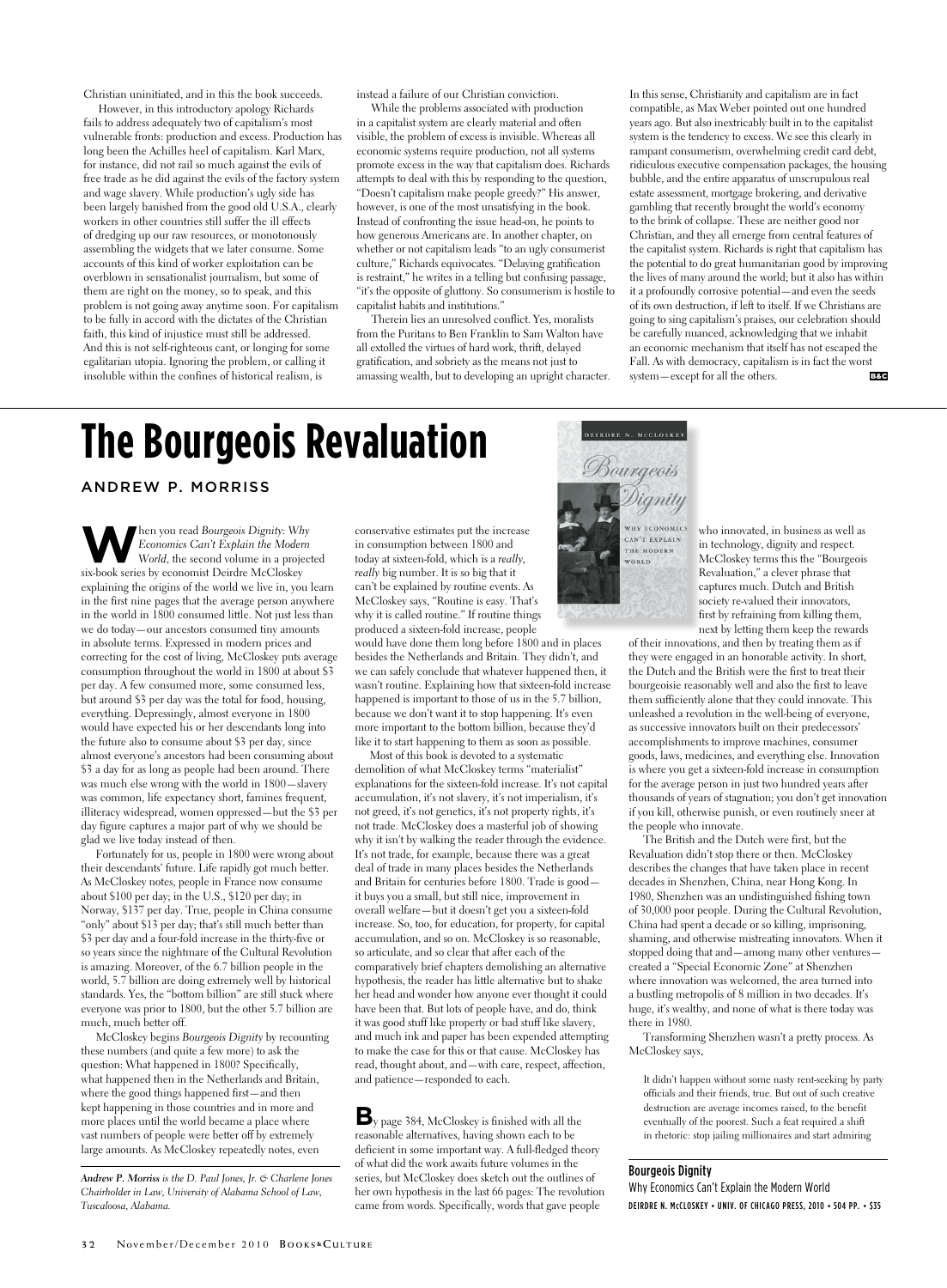Christian uninitiated, and in this the book succeeds.

However, in this introductory apology Richards fails to address adequately two of capitalism's most vulnerable fronts: production and excess. Production has long been the Achilles heel of capitalism. Karl Marx, for instance, did not rail so much against the evils of free trade as he did against the evils of the factory system and wage slavery. While production's ugly side has been largely banished from the good old U.S.A., clearly workers in other countries still suffer the ill effects of dredging up our raw resources, or monotonously assembling the widgets that we later consume. Some accounts of this kind of worker exploitation can be overblown in sensationalist journalism, but some of them are right on the money, so to speak, and this problem is not going away anytime soon. For capitalism to be fully in accord with the dictates of the Christian faith, this kind of injustice must still be addressed. And this is not self-righteous cant, or longing for some egalitarian utopia. Ignoring the problem, or calling it insoluble within the confines of historical realism, is

instead a failure of our Christian conviction.

While the problems associated with production in a capitalist system are clearly material and often visible, the problem of excess is invisible. Whereas all economic systems require production, not all systems promote excess in the way that capitalism does. Richards attempts to deal with this by responding to the question, "Doesn't capitalism make people greedy?" His answer, however, is one of the most unsatisfying in the book. Instead of confronting the issue head-on, he points to how generous Americans are. In another chapter, on whether or not capitalism leads "to an ugly consumerist culture," Richards equivocates. "Delaying gratification is restraint," he writes in a telling but confusing passage, "it's the opposite of gluttony. So consumerism is hostile to capitalist habits and institutions."

Therein lies an unresolved conflict. Yes, moralists from the Puritans to Ben Franklin to Sam Walton have all extolled the virtues of hard work, thrift, delayed gratification, and sobriety as the means not just to amassing wealth, but to developing an upright character. In this sense, Christianity and capitalism are in fact compatible, as Max Weber pointed out one hundred years ago. But also inextricably built in to the capitalist system is the tendency to excess. We see this clearly in rampant consumerism, overwhelming credit card debt, ridiculous executive compensation packages, the housing bubble, and the entire apparatus of unscrupulous real estate assessment, mortgage brokering, and derivative gambling that recently brought the world's economy to the brink of collapse. These are neither good nor Christian, and they all emerge from central features of the capitalist system. Richards is right that capitalism has the potential to do great humanitarian good by improving the lives of many around the world; but it also has within it a profoundly corrosive potential—and even the seeds of its own destruction, if left to itself. If we Christians are going to sing capitalism's praises, our celebration should be carefully nuanced, acknowledging that we inhabit an economic mechanism that itself has not escaped the Fall. As with democracy, capitalism is in fact the worst system—except for all the others. B&C

## **The Bourgeois Revaluation**

Andrew P. Morriss

**W**hen you read *Bourgeois Dignity: Why*<br>*Economics Can't Explain the Modern*<br>*World, the second volume in a project Economics Can't Explain the Modern World*, the second volume in a projected six-book series by economist Deirdre McCloskey explaining the origins of the world we live in, you learn in the first nine pages that the average person anywhere in the world in 1800 consumed little. Not just less than we do today—our ancestors consumed tiny amounts in absolute terms. Expressed in modern prices and correcting for the cost of living, McCloskey puts average consumption throughout the world in 1800 at about \$3 per day. A few consumed more, some consumed less, but around \$3 per day was the total for food, housing, everything. Depressingly, almost everyone in 1800 would have expected his or her descendants long into the future also to consume about \$3 per day, since almost everyone's ancestors had been consuming about \$3 a day for as long as people had been around. There was much else wrong with the world in 1800—slavery was common, life expectancy short, famines frequent, illiteracy widespread, women oppressed—but the \$3 per day figure captures a major part of why we should be glad we live today instead of then.

Fortunately for us, people in 1800 were wrong about their descendants' future. Life rapidly got much better. As McCloskey notes, people in France now consume about \$100 per day; in the U.S., \$120 per day; in Norway, \$137 per day. True, people in China consume "only" about \$13 per day; that's still much better than \$3 per day and a four-fold increase in the thirty-five or so years since the nightmare of the Cultural Revolution is amazing. Moreover, of the 6.7 billion people in the world, 5.7 billion are doing extremely well by historical standards. Yes, the "bottom billion" are still stuck where everyone was prior to 1800, but the other 5.7 billion are much, much better off.

McCloskey begins *Bourgeois Dignity* by recounting these numbers (and quite a few more) to ask the question: What happened in 1800? Specifically, what happened then in the Netherlands and Britain, where the good things happened first—and then kept happening in those countries and in more and more places until the world became a place where vast numbers of people were better off by extremely large amounts. As McCloskey repeatedly notes, even

*Andrew P. Morriss is the D. Paul Jones, Jr. & Charlene Jones Chairholder in Law, University of Alabama School of Law, Tuscaloosa, Alabama.*

conservative estimates put the increase in consumption between 1800 and today at sixteen-fold, which is a *really, really* big number. It is so big that it can't be explained by routine events. As McCloskey says, "Routine is easy. That's why it is called routine." If routine things produced a sixteen-fold increase, people

would have done them long before 1800 and in places besides the Netherlands and Britain. They didn't, and we can safely conclude that whatever happened then, it wasn't routine. Explaining how that sixteen-fold increase happened is important to those of us in the 5.7 billion, because we don't want it to stop happening. It's even more important to the bottom billion, because they'd like it to start happening to them as soon as possible.

Most of this book is devoted to a systematic demolition of what McCloskey terms "materialist" explanations for the sixteen-fold increase. It's not capital accumulation, it's not slavery, it's not imperialism, it's not greed, it's not genetics, it's not property rights, it's not trade. McCloskey does a masterful job of showing why it isn't by walking the reader through the evidence. It's not trade, for example, because there was a great deal of trade in many places besides the Netherlands and Britain for centuries before 1800. Trade is good it buys you a small, but still nice, improvement in overall welfare—but it doesn't get you a sixteen-fold increase. So, too, for education, for property, for capital accumulation, and so on. McCloskey is so reasonable, so articulate, and so clear that after each of the comparatively brief chapters demolishing an alternative hypothesis, the reader has little alternative but to shake her head and wonder how anyone ever thought it could have been that. But lots of people have, and do, think it was good stuff like property or bad stuff like slavery, and much ink and paper has been expended attempting to make the case for this or that cause. McCloskey has read, thought about, and—with care, respect, affection, and patience—responded to each.

**B**y page 384, McCloskey is finished with all the reasonable alternatives, having shown each to be deficient in some important way. A full-fledged theory of what did the work awaits future volumes in the series, but McCloskey does sketch out the outlines of her own hypothesis in the last 66 pages: The revolution came from words. Specifically, words that gave people

DEIRDRE N. MCCLOSKEY Bourgeois WHY ECONOMICS CAN'T EXPLAIN THE MODERN WORLD

who innovated, in business as well as in technology, dignity and respect. McCloskey terms this the "Bourgeois Revaluation," a clever phrase that captures much. Dutch and British society re-valued their innovators, first by refraining from killing them, next by letting them keep the rewards

of their innovations, and then by treating them as if they were engaged in an honorable activity. In short, the Dutch and the British were the first to treat their bourgeoisie reasonably well and also the first to leave them sufficiently alone that they could innovate. This unleashed a revolution in the well-being of everyone, as successive innovators built on their predecessors' accomplishments to improve machines, consumer goods, laws, medicines, and everything else. Innovation is where you get a sixteen-fold increase in consumption for the average person in just two hundred years after thousands of years of stagnation; you don't get innovation if you kill, otherwise punish, or even routinely sneer at the people who innovate.

The British and the Dutch were first, but the Revaluation didn't stop there or then. McCloskey describes the changes that have taken place in recent decades in Shenzhen, China, near Hong Kong. In 1980, Shenzhen was an undistinguished fishing town of 30,000 poor people. During the Cultural Revolution, China had spent a decade or so killing, imprisoning, shaming, and otherwise mistreating innovators. When it stopped doing that and—among many other ventures created a "Special Economic Zone" at Shenzhen where innovation was welcomed, the area turned into a bustling metropolis of 8 million in two decades. It's huge, it's wealthy, and none of what is there today was there in 1980.

Transforming Shenzhen wasn't a pretty process. As McCloskey says,

It didn't happen without some nasty rent-seeking by party officials and their friends, true. But out of such creative destruction are average incomes raised, to the benefit eventually of the poorest. Such a feat required a shift in rhetoric: stop jailing millionaires and start admiring

## Bourgeois Dignity

Why Economics Can't Explain the Modern World Deirdre N. McCloskey • Univ. of Chicago Press, 2010 • 504 pp. • \$35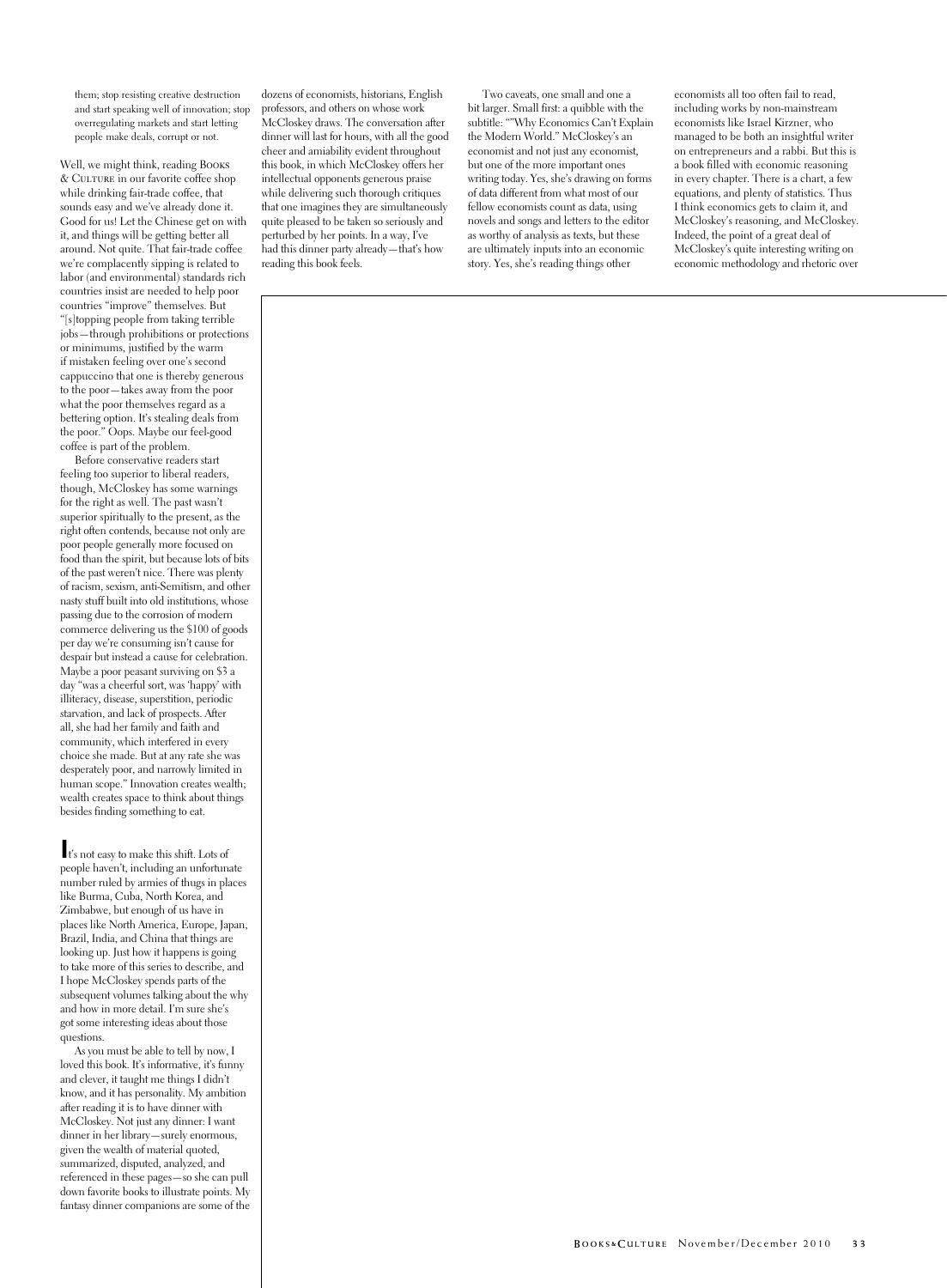them; stop resisting creative destruction and start speaking well of innovation; stop overregulating markets and start letting people make deals, corrupt or not.

Well, we might think, reading Books & Culture in our favorite coffee shop while drinking fair-trade coffee, that sounds easy and we've already done it. Good for us! Let the Chinese get on with it, and things will be getting better all around. Not quite. That fair-trade coffee we're complacently sipping is related to labor (and environmental) standards rich countries insist are needed to help poor countries "improve" themselves. But "[s]topping people from taking terrible jobs—through prohibitions or protections or minimums, justified by the warm if mistaken feeling over one's second cappuccino that one is thereby generous to the poor—takes away from the poor what the poor themselves regard as a bettering option. It's stealing deals from the poor." Oops. Maybe our feel-good coffee is part of the problem.

Before conservative readers start feeling too superior to liberal readers, though, McCloskey has some warnings for the right as well. The past wasn't superior spiritually to the present, as the right often contends, because not only are poor people generally more focused on food than the spirit, but because lots of bits of the past weren't nice. There was plenty of racism, sexism, anti-Semitism, and other nasty stuff built into old institutions, whose passing due to the corrosion of modern commerce delivering us the \$100 of goods per day we're consuming isn't cause for despair but instead a cause for celebration. Maybe a poor peasant surviving on \$3 a day "was a cheerful sort, was 'happy' with illiteracy, disease, superstition, periodic starvation, and lack of prospects. After all, she had her family and faith and community, which interfered in every choice she made. But at any rate she was desperately poor, and narrowly limited in human scope." Innovation creates wealth; wealth creates space to think about things besides finding something to eat.

**I**t's not easy to make this shift. Lots of people haven't, including an unfortunate number ruled by armies of thugs in places like Burma, Cuba, North Korea, and Zimbabwe, but enough of us have in places like North America, Europe, Japan, Brazil, India, and China that things are looking up. Just how it happens is going to take more of this series to describe, and I hope McCloskey spends parts of the subsequent volumes talking about the why and how in more detail. I'm sure she's got some interesting ideas about those questions.

As you must be able to tell by now, I loved this book. It's informative, it's funny and clever, it taught me things I didn't know, and it has personality. My ambition after reading it is to have dinner with McCloskey. Not just any dinner: I want dinner in her library—surely enormous, given the wealth of material quoted, summarized, disputed, analyzed, and referenced in these pages—so she can pull down favorite books to illustrate points. My fantasy dinner companions are some of the dozens of economists, historians, English professors, and others on whose work McCloskey draws. The conversation after dinner will last for hours, with all the good cheer and amiability evident throughout this book, in which McCloskey offers her intellectual opponents generous praise while delivering such thorough critiques that one imagines they are simultaneously quite pleased to be taken so seriously and perturbed by her points. In a way, I've had this dinner party already—that's how reading this book feels.

Two caveats, one small and one a bit larger. Small first: a quibble with the subtitle: ""Why Economics Can't Explain the Modern World." McCloskey's an economist and not just any economist, but one of the more important ones writing today. Yes, she's drawing on forms of data different from what most of our fellow economists count as data, using novels and songs and letters to the editor as worthy of analysis as texts, but these are ultimately inputs into an economic story. Yes, she's reading things other

economists all too often fail to read, including works by non-mainstream economists like Israel Kirzner, who managed to be both an insightful writer on entrepreneurs and a rabbi. But this is a book filled with economic reasoning in every chapter. There is a chart, a few equations, and plenty of statistics. Thus I think economics gets to claim it, and McCloskey's reasoning, and McCloskey. Indeed, the point of a great deal of McCloskey's quite interesting writing on economic methodology and rhetoric over